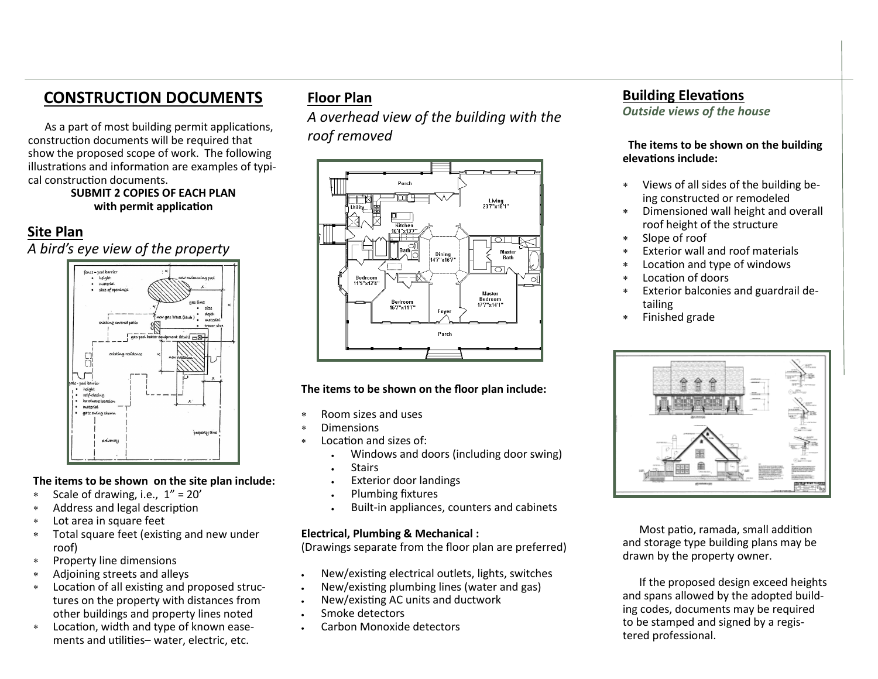# **CONSTRUCTION DOCUMENTS**

 As a part of most building permit applications, construction documents will be required that show the proposed scope of work. The following illustrations and information are examples of typical construction documents.

#### **SUBMIT 2 COPIES OF EACH PLAN with permit application**

# **Site Plan**

*A bird's eye view of the property*



#### **The items to be shown on the site plan include:**

- Scale of drawing, i.e., 1" = 20'
- Address and legal description
- Lot area in square feet
- Total square feet (existing and new under roof)
- Property line dimensions
- Adjoining streets and alleys
- Location of all existing and proposed structures on the property with distances from other buildings and property lines noted
- Location, width and type of known easements and utilities– water, electric, etc.

# **Floor Plan**

*A overhead view of the building with the roof removed*



#### **The items to be shown on the floor plan include:**

- Room sizes and uses
- Dimensions
- Location and sizes of:
	- Windows and doors (including door swing)
	- **Stairs**
	- Exterior door landings
	- Plumbing fixtures
	- Built-in appliances, counters and cabinets

#### **Electrical, Plumbing & Mechanical :**

(Drawings separate from the floor plan are preferred)

- New/existing electrical outlets, lights, switches
- New/existing plumbing lines (water and gas)
- New/existing AC units and ductwork
- Smoke detectors
- Carbon Monoxide detectors

## **Building Elevations**

*Outside views of the house*

 **The items to be shown on the building elevations include:**

- Views of all sides of the building being constructed or remodeled
- Dimensioned wall height and overall roof height of the structure
- Slope of roof
- Exterior wall and roof materials
- Location and type of windows
- Location of doors
- Exterior balconies and guardrail detailing
- Finished grade



 Most patio, ramada, small addition and storage type building plans may be drawn by the property owner.

 If the proposed design exceed heights and spans allowed by the adopted building codes, documents may be required to be stamped and signed by a registered professional.